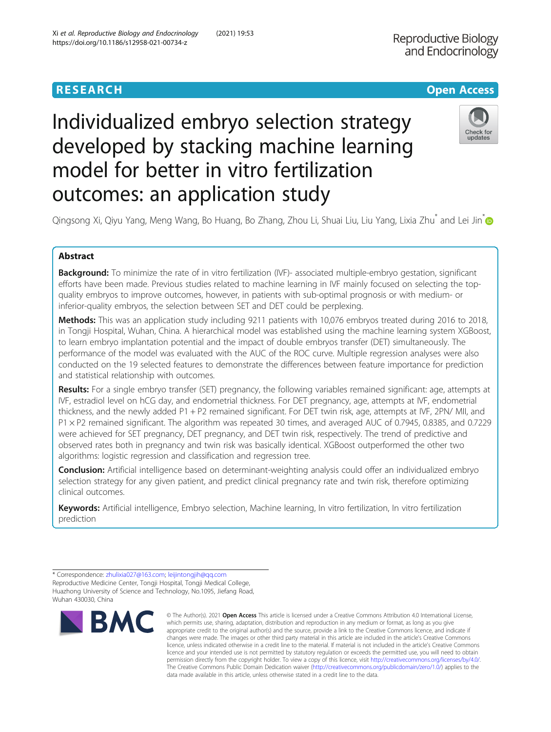# Individualized embryo selection strategy developed by stacking machine learning model for better in vitro fertilization outcomes: an application study



Qingsong Xi, Qiyu Yang, Meng Wang, Bo Huang, Bo Zhang, Zhou Li, Shuai Liu, Liu Yang, Lixia Zhu<sup>\*</sup> and Lei Jin<sup>\*</sup> @

# Abstract

Background: To minimize the rate of in vitro fertilization (IVF)- associated multiple-embryo gestation, significant efforts have been made. Previous studies related to machine learning in IVF mainly focused on selecting the topquality embryos to improve outcomes, however, in patients with sub-optimal prognosis or with medium- or inferior-quality embryos, the selection between SET and DET could be perplexing.

Methods: This was an application study including 9211 patients with 10,076 embryos treated during 2016 to 2018, in Tongji Hospital, Wuhan, China. A hierarchical model was established using the machine learning system XGBoost, to learn embryo implantation potential and the impact of double embryos transfer (DET) simultaneously. The performance of the model was evaluated with the AUC of the ROC curve. Multiple regression analyses were also conducted on the 19 selected features to demonstrate the differences between feature importance for prediction and statistical relationship with outcomes.

Results: For a single embryo transfer (SET) pregnancy, the following variables remained significant: age, attempts at IVF, estradiol level on hCG day, and endometrial thickness. For DET pregnancy, age, attempts at IVF, endometrial thickness, and the newly added P1 + P2 remained significant. For DET twin risk, age, attempts at IVF, 2PN/ MII, and P1 × P2 remained significant. The algorithm was repeated 30 times, and averaged AUC of 0.7945, 0.8385, and 0.7229 were achieved for SET pregnancy, DET pregnancy, and DET twin risk, respectively. The trend of predictive and observed rates both in pregnancy and twin risk was basically identical. XGBoost outperformed the other two algorithms: logistic regression and classification and regression tree.

Conclusion: Artificial intelligence based on determinant-weighting analysis could offer an individualized embryo selection strategy for any given patient, and predict clinical pregnancy rate and twin risk, therefore optimizing clinical outcomes.

Keywords: Artificial intelligence, Embryo selection, Machine learning, In vitro fertilization, In vitro fertilization prediction

<sup>\*</sup> Correspondence: [zhulixia027@163.com](mailto:zhulixia027@163.com); [leijintongjih@qq.com](mailto:leijintongjih@qq.com) Reproductive Medicine Center, Tongji Hospital, Tongji Medical College, Huazhong University of Science and Technology, No.1095, Jiefang Road, Wuhan 430030, China



<sup>©</sup> The Author(s). 2021 Open Access This article is licensed under a Creative Commons Attribution 4.0 International License, which permits use, sharing, adaptation, distribution and reproduction in any medium or format, as long as you give appropriate credit to the original author(s) and the source, provide a link to the Creative Commons licence, and indicate if changes were made. The images or other third party material in this article are included in the article's Creative Commons licence, unless indicated otherwise in a credit line to the material. If material is not included in the article's Creative Commons licence and your intended use is not permitted by statutory regulation or exceeds the permitted use, you will need to obtain permission directly from the copyright holder. To view a copy of this licence, visit [http://creativecommons.org/licenses/by/4.0/.](http://creativecommons.org/licenses/by/4.0/) The Creative Commons Public Domain Dedication waiver [\(http://creativecommons.org/publicdomain/zero/1.0/](http://creativecommons.org/publicdomain/zero/1.0/)) applies to the data made available in this article, unless otherwise stated in a credit line to the data.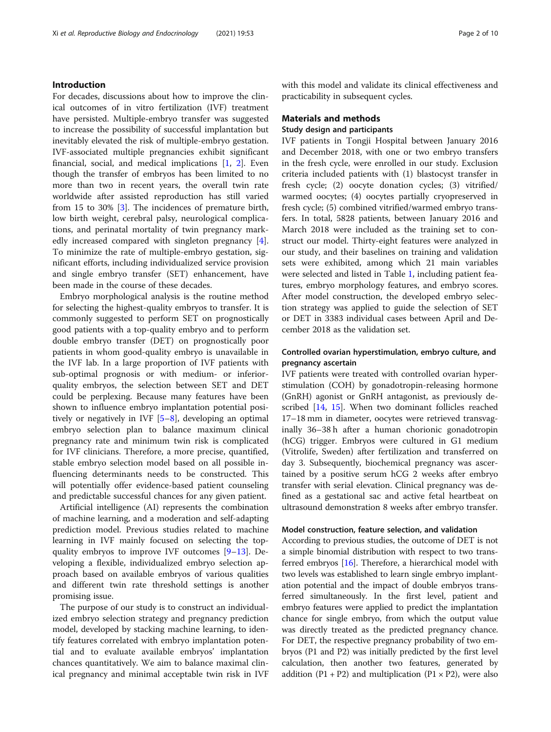# Introduction

For decades, discussions about how to improve the clinical outcomes of in vitro fertilization (IVF) treatment have persisted. Multiple-embryo transfer was suggested to increase the possibility of successful implantation but inevitably elevated the risk of multiple-embryo gestation. IVF-associated multiple pregnancies exhibit significant financial, social, and medical implications [\[1](#page-8-0), [2](#page-8-0)]. Even though the transfer of embryos has been limited to no more than two in recent years, the overall twin rate worldwide after assisted reproduction has still varied from 15 to 30% [[3\]](#page-8-0). The incidences of premature birth, low birth weight, cerebral palsy, neurological complications, and perinatal mortality of twin pregnancy markedly increased compared with singleton pregnancy [\[4](#page-8-0)]. To minimize the rate of multiple-embryo gestation, significant efforts, including individualized service provision and single embryo transfer (SET) enhancement, have been made in the course of these decades.

Embryo morphological analysis is the routine method for selecting the highest-quality embryos to transfer. It is commonly suggested to perform SET on prognostically good patients with a top-quality embryo and to perform double embryo transfer (DET) on prognostically poor patients in whom good-quality embryo is unavailable in the IVF lab. In a large proportion of IVF patients with sub-optimal prognosis or with medium- or inferiorquality embryos, the selection between SET and DET could be perplexing. Because many features have been shown to influence embryo implantation potential positively or negatively in IVF [[5](#page-8-0)–[8\]](#page-9-0), developing an optimal embryo selection plan to balance maximum clinical pregnancy rate and minimum twin risk is complicated for IVF clinicians. Therefore, a more precise, quantified, stable embryo selection model based on all possible influencing determinants needs to be constructed. This will potentially offer evidence-based patient counseling and predictable successful chances for any given patient.

Artificial intelligence (AI) represents the combination of machine learning, and a moderation and self-adapting prediction model. Previous studies related to machine learning in IVF mainly focused on selecting the topquality embryos to improve IVF outcomes [\[9](#page-9-0)–[13\]](#page-9-0). Developing a flexible, individualized embryo selection approach based on available embryos of various qualities and different twin rate threshold settings is another promising issue.

The purpose of our study is to construct an individualized embryo selection strategy and pregnancy prediction model, developed by stacking machine learning, to identify features correlated with embryo implantation potential and to evaluate available embryos' implantation chances quantitatively. We aim to balance maximal clinical pregnancy and minimal acceptable twin risk in IVF with this model and validate its clinical effectiveness and practicability in subsequent cycles.

# Materials and methods

# Study design and participants

IVF patients in Tongji Hospital between January 2016 and December 2018, with one or two embryo transfers in the fresh cycle, were enrolled in our study. Exclusion criteria included patients with (1) blastocyst transfer in fresh cycle; (2) oocyte donation cycles; (3) vitrified/ warmed oocytes; (4) oocytes partially cryopreserved in fresh cycle; (5) combined vitrified/warmed embryo transfers. In total, 5828 patients, between January 2016 and March 2018 were included as the training set to construct our model. Thirty-eight features were analyzed in our study, and their baselines on training and validation sets were exhibited, among which 21 main variables were selected and listed in Table [1](#page-2-0), including patient features, embryo morphology features, and embryo scores. After model construction, the developed embryo selection strategy was applied to guide the selection of SET or DET in 3383 individual cases between April and December 2018 as the validation set.

# Controlled ovarian hyperstimulation, embryo culture, and pregnancy ascertain

IVF patients were treated with controlled ovarian hyperstimulation (COH) by gonadotropin-releasing hormone (GnRH) agonist or GnRH antagonist, as previously described [[14](#page-9-0), [15\]](#page-9-0). When two dominant follicles reached 17–18 mm in diameter, oocytes were retrieved transvaginally 36–38 h after a human chorionic gonadotropin (hCG) trigger. Embryos were cultured in G1 medium (Vitrolife, Sweden) after fertilization and transferred on day 3. Subsequently, biochemical pregnancy was ascertained by a positive serum hCG 2 weeks after embryo transfer with serial elevation. Clinical pregnancy was defined as a gestational sac and active fetal heartbeat on ultrasound demonstration 8 weeks after embryo transfer.

# Model construction, feature selection, and validation

According to previous studies, the outcome of DET is not a simple binomial distribution with respect to two transferred embryos [\[16\]](#page-9-0). Therefore, a hierarchical model with two levels was established to learn single embryo implantation potential and the impact of double embryos transferred simultaneously. In the first level, patient and embryo features were applied to predict the implantation chance for single embryo, from which the output value was directly treated as the predicted pregnancy chance. For DET, the respective pregnancy probability of two embryos (P1 and P2) was initially predicted by the first level calculation, then another two features, generated by addition  $(P1 + P2)$  and multiplication  $(P1 \times P2)$ , were also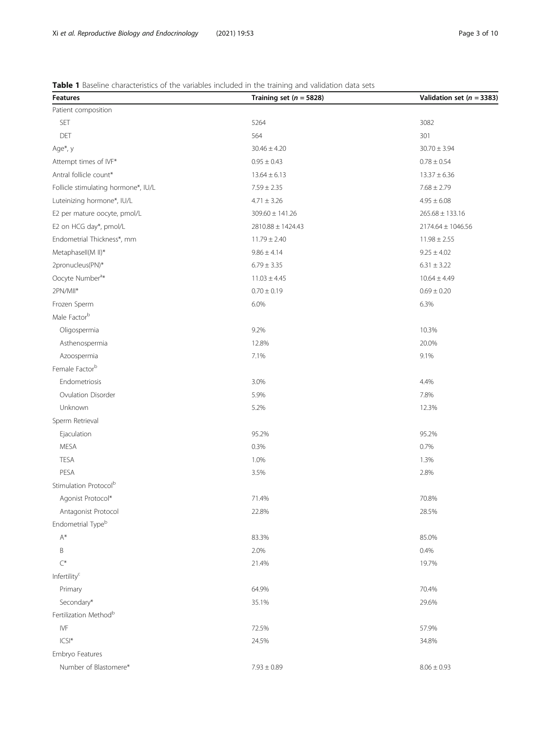# <span id="page-2-0"></span>Table 1 Baseline characteristics of the variables included in the training and validation data sets

| <b>Features</b>                     | Training set ( $n = 5828$ ) | Validation set ( $n = 3383$ ) |
|-------------------------------------|-----------------------------|-------------------------------|
| Patient composition                 |                             |                               |
| SET                                 | 5264                        | 3082                          |
| DET                                 | 564                         | 301                           |
| Age*, y                             | $30.46 \pm 4.20$            | $30.70 \pm 3.94$              |
| Attempt times of IVF*               | $0.95 \pm 0.43$             | $0.78 \pm 0.54$               |
| Antral follicle count*              | $13.64 \pm 6.13$            | $13.37 \pm 6.36$              |
| Follicle stimulating hormone*, IU/L | $7.59 \pm 2.35$             | $7.68 \pm 2.79$               |
| Luteinizing hormone*, IU/L          | $4.71 \pm 3.26$             | $4.95 \pm 6.08$               |
| E2 per mature oocyte, pmol/L        | $309.60 \pm 141.26$         | $265.68 \pm 133.16$           |
| E2 on HCG day*, pmol/L              | 2810.88 ± 1424.43           | $2174.64 \pm 1046.56$         |
| Endometrial Thickness*, mm          | $11.79 \pm 2.40$            | $11.98 \pm 2.55$              |
| Metaphasell(M II)*                  | $9.86 \pm 4.14$             | $9.25 \pm 4.02$               |
| 2pronucleus(PN)*                    | $6.79 \pm 3.35$             | $6.31 \pm 3.22$               |
| Oocyte Number <sup>a*</sup>         | $11.03 \pm 4.45$            | $10.64 \pm 4.49$              |
| 2PN/MII*                            | $0.70 \pm 0.19$             | $0.69 \pm 0.20$               |
| Frozen Sperm                        | 6.0%                        | 6.3%                          |
| Male Factor <sup>b</sup>            |                             |                               |
| Oligospermia                        | 9.2%                        | 10.3%                         |
| Asthenospermia                      | 12.8%                       | 20.0%                         |
| Azoospermia                         | 7.1%                        | 9.1%                          |
| Female Factor <sup>b</sup>          |                             |                               |
| Endometriosis                       | 3.0%                        | 4.4%                          |
| Ovulation Disorder                  | 5.9%                        | 7.8%                          |
| Unknown                             | 5.2%                        | 12.3%                         |
| Sperm Retrieval                     |                             |                               |
| Ejaculation                         | 95.2%                       | 95.2%                         |
| <b>MESA</b>                         | 0.3%                        | 0.7%                          |
| <b>TESA</b>                         | 1.0%                        | 1.3%                          |
| PESA                                | 3.5%                        | 2.8%                          |
| Stimulation Protocol <sup>b</sup>   |                             |                               |
| Agonist Protocol*                   | 71.4%                       | 70.8%                         |
| Antagonist Protocol                 | 22.8%                       | 28.5%                         |
| Endometrial Type <sup>b</sup>       |                             |                               |
| $\mathsf{A}^*$                      | 83.3%                       | 85.0%                         |
| B                                   | 2.0%                        | 0.4%                          |
| $\mathsf{C}^*$                      | 21.4%                       | 19.7%                         |
| Infertility <sup>c</sup>            |                             |                               |
| Primary                             | 64.9%                       | 70.4%                         |
| Secondary*                          | 35.1%                       | 29.6%                         |
| Fertilization Method <sup>b</sup>   |                             |                               |
| IVF                                 | 72.5%                       | 57.9%                         |
| $ CS $ *                            | 24.5%                       | 34.8%                         |
| Embryo Features                     |                             |                               |
| Number of Blastomere*               | $7.93 \pm 0.89$             | $8.06 \pm 0.93$               |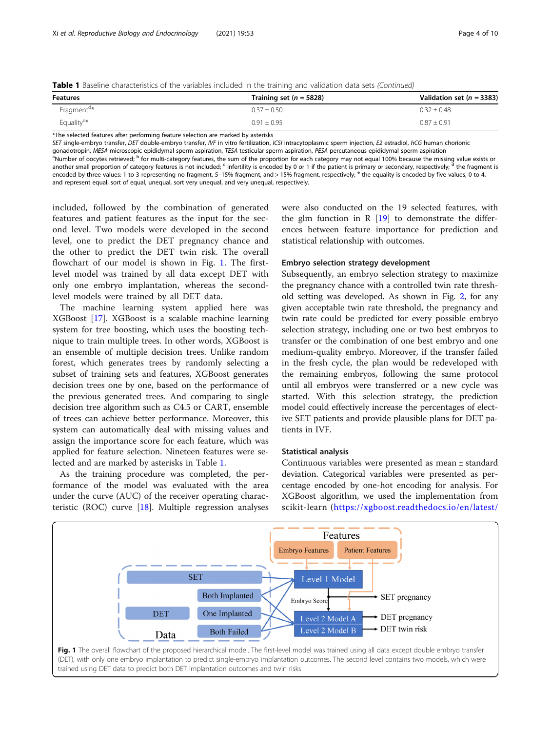|  | Table 1 Baseline characteristics of the variables included in the training and validation data sets (Continued) |  |  |  |  |  |
|--|-----------------------------------------------------------------------------------------------------------------|--|--|--|--|--|
|  |                                                                                                                 |  |  |  |  |  |

| <b>Features</b>        | Training set $(n = 5828)$ | Validation set ( $n = 3383$ ) |
|------------------------|---------------------------|-------------------------------|
| Fragment <sup>d*</sup> | $0.37 + 0.50$             | $0.32 + 0.48$                 |
| Equality <sup>e*</sup> | $0.91 \pm 0.95$           | $0.87 \pm 0.91$               |

\*The selected features after performing feature selection are marked by asterisks

SET single-embryo transfer, DET double-embryo transfer, IVF in vitro fertilization, ICSI intracytoplasmic sperm injection, E2 estradiol, hCG human chorionic gonadotropin, MESA microscopic epididymal sperm aspiration, TESA testicular sperm aspiration, PESA percutaneous epididymal sperm aspiration <sup>a</sup>Number of oocytes retrieved; <sup>b</sup> for multi-category features, the sum of the proportion for each category may not equal 100% because the missing value exists or another small proportion of category features is not included; <sup>c</sup> infertility is encoded by 0 or 1 if the patient is primary or secondary, respectively; <sup>d</sup> the fragment is

encoded by three values: 1 to 3 representing no fragment, 5-15% fragment, and > 15% fragment, respectively; <sup>e</sup> the equality is encoded by five values, 0 to 4, and represent equal, sort of equal, unequal, sort very unequal, and very unequal, respectively.

included, followed by the combination of generated features and patient features as the input for the second level. Two models were developed in the second level, one to predict the DET pregnancy chance and the other to predict the DET twin risk. The overall flowchart of our model is shown in Fig. 1. The firstlevel model was trained by all data except DET with only one embryo implantation, whereas the secondlevel models were trained by all DET data.

The machine learning system applied here was XGBoost [\[17](#page-9-0)]. XGBoost is a scalable machine learning system for tree boosting, which uses the boosting technique to train multiple trees. In other words, XGBoost is an ensemble of multiple decision trees. Unlike random forest, which generates trees by randomly selecting a subset of training sets and features, XGBoost generates decision trees one by one, based on the performance of the previous generated trees. And comparing to single decision tree algorithm such as C4.5 or CART, ensemble of trees can achieve better performance. Moreover, this system can automatically deal with missing values and assign the importance score for each feature, which was applied for feature selection. Nineteen features were selected and are marked by asterisks in Table [1](#page-2-0).

As the training procedure was completed, the performance of the model was evaluated with the area under the curve (AUC) of the receiver operating characteristic (ROC) curve [\[18](#page-9-0)]. Multiple regression analyses were also conducted on the 19 selected features, with the glm function in R  $[19]$  $[19]$  to demonstrate the differences between feature importance for prediction and statistical relationship with outcomes.

# Embryo selection strategy development

Subsequently, an embryo selection strategy to maximize the pregnancy chance with a controlled twin rate threshold setting was developed. As shown in Fig. [2,](#page-4-0) for any given acceptable twin rate threshold, the pregnancy and twin rate could be predicted for every possible embryo selection strategy, including one or two best embryos to transfer or the combination of one best embryo and one medium-quality embryo. Moreover, if the transfer failed in the fresh cycle, the plan would be redeveloped with the remaining embryos, following the same protocol until all embryos were transferred or a new cycle was started. With this selection strategy, the prediction model could effectively increase the percentages of elective SET patients and provide plausible plans for DET patients in IVF.

#### Statistical analysis

Continuous variables were presented as mean ± standard deviation. Categorical variables were presented as percentage encoded by one-hot encoding for analysis. For XGBoost algorithm, we used the implementation from scikit-learn ([https://xgboost.readthedocs.io/en/latest/](https://xgboost.readthedocs.io/en/latest/python/)

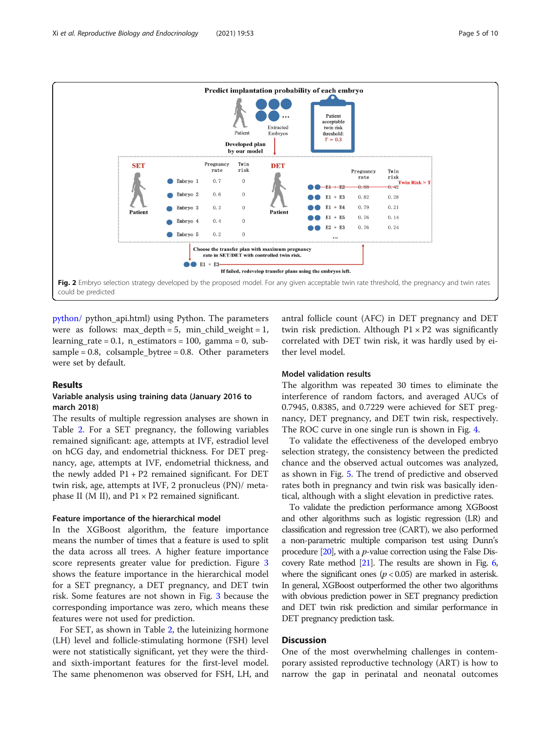<span id="page-4-0"></span>

[python/](https://xgboost.readthedocs.io/en/latest/python/) python\_api.html) using Python. The parameters were as follows: max\_depth = 5, min\_child\_weight = 1, learning\_rate =  $0.1$ , n\_estimators = 100, gamma = 0, subsample =  $0.8$ , colsample\_bytree =  $0.8$ . Other parameters were set by default.

#### Results

# Variable analysis using training data (January 2016 to march 2018)

The results of multiple regression analyses are shown in Table [2](#page-5-0). For a SET pregnancy, the following variables remained significant: age, attempts at IVF, estradiol level on hCG day, and endometrial thickness. For DET pregnancy, age, attempts at IVF, endometrial thickness, and the newly added  $P1 + P2$  remained significant. For DET twin risk, age, attempts at IVF, 2 pronucleus (PN)/ metaphase II (M II), and  $P1 \times P2$  remained significant.

#### Feature importance of the hierarchical model

In the XGBoost algorithm, the feature importance means the number of times that a feature is used to split the data across all trees. A higher feature importance score represents greater value for prediction. Figure [3](#page-6-0) shows the feature importance in the hierarchical model for a SET pregnancy, a DET pregnancy, and DET twin risk. Some features are not shown in Fig. [3](#page-6-0) because the corresponding importance was zero, which means these features were not used for prediction.

For SET, as shown in Table [2](#page-5-0), the luteinizing hormone (LH) level and follicle-stimulating hormone (FSH) level were not statistically significant, yet they were the thirdand sixth-important features for the first-level model. The same phenomenon was observed for FSH, LH, and antral follicle count (AFC) in DET pregnancy and DET twin risk prediction. Although  $P1 \times P2$  was significantly correlated with DET twin risk, it was hardly used by either level model.

# Model validation results

The algorithm was repeated 30 times to eliminate the interference of random factors, and averaged AUCs of 0.7945, 0.8385, and 0.7229 were achieved for SET pregnancy, DET pregnancy, and DET twin risk, respectively. The ROC curve in one single run is shown in Fig. [4.](#page-6-0)

To validate the effectiveness of the developed embryo selection strategy, the consistency between the predicted chance and the observed actual outcomes was analyzed, as shown in Fig. [5.](#page-7-0) The trend of predictive and observed rates both in pregnancy and twin risk was basically identical, although with a slight elevation in predictive rates.

To validate the prediction performance among XGBoost and other algorithms such as logistic regression (LR) and classification and regression tree (CART), we also performed a non-parametric multiple comparison test using Dunn's procedure  $[20]$  $[20]$ , with a *p*-value correction using the False Discovery Rate method  $[21]$  $[21]$ . The results are shown in Fig. [6](#page-7-0), where the significant ones ( $p < 0.05$ ) are marked in asterisk. In general, XGBoost outperformed the other two algorithms with obvious prediction power in SET pregnancy prediction and DET twin risk prediction and similar performance in DET pregnancy prediction task.

# **Discussion**

One of the most overwhelming challenges in contemporary assisted reproductive technology (ART) is how to narrow the gap in perinatal and neonatal outcomes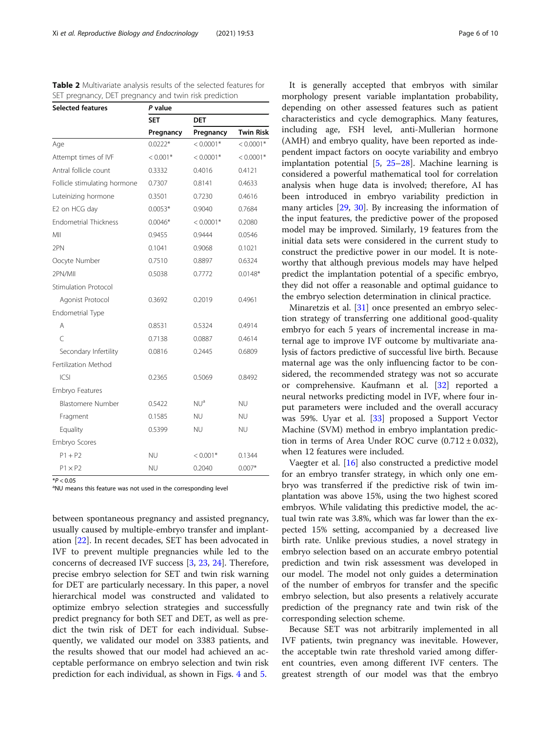<span id="page-5-0"></span>

|                                                       | <b>Table 2</b> Multivariate analysis results of the selected features for |
|-------------------------------------------------------|---------------------------------------------------------------------------|
| SET pregnancy, DET pregnancy and twin risk prediction |                                                                           |

| <b>Selected features</b>     | P value    |                 |                  |  |  |  |
|------------------------------|------------|-----------------|------------------|--|--|--|
|                              | <b>SET</b> | <b>DET</b>      |                  |  |  |  |
|                              | Pregnancy  | Pregnancy       | <b>Twin Risk</b> |  |  |  |
| Age                          | $0.0222*$  | $< 0.0001*$     | $< 0.0001*$      |  |  |  |
| Attempt times of IVF         | $< 0.001*$ | $< 0.0001*$     | $< 0.0001*$      |  |  |  |
| Antral follicle count        | 0.3332     | 0.4016          | 0.4121           |  |  |  |
| Follicle stimulating hormone | 0.7307     | 0.8141          | 0.4633           |  |  |  |
| Luteinizing hormone          | 0.3501     | 0.7230          | 0.4616           |  |  |  |
| E2 on HCG day                | $0.0053*$  | 0.9040          | 0.7684           |  |  |  |
| <b>Endometrial Thickness</b> | $0.0046*$  | $< 0.0001*$     | 0.2080           |  |  |  |
| MII                          | 0.9455     | 0.9444          | 0.0546           |  |  |  |
| 2PN                          | 0.1041     | 0.9068          | 0.1021           |  |  |  |
| Oocyte Number                | 0.7510     | 0.8897          | 0.6324           |  |  |  |
| 2PN/MII                      | 0.5038     | 0.7772          | $0.0148*$        |  |  |  |
| <b>Stimulation Protocol</b>  |            |                 |                  |  |  |  |
| Agonist Protocol             | 0.3692     | 0.2019          | 0.4961           |  |  |  |
| Endometrial Type             |            |                 |                  |  |  |  |
| Α                            | 0.8531     | 0.5324          | 0.4914           |  |  |  |
| $\subset$                    | 0.7138     | 0.0887          | 0.4614           |  |  |  |
| Secondary Infertility        | 0.0816     | 0.2445          | 0.6809           |  |  |  |
| Fertilization Method         |            |                 |                  |  |  |  |
| CS                           | 0.2365     | 0.5069          | 0.8492           |  |  |  |
| Embryo Features              |            |                 |                  |  |  |  |
| <b>Blastomere Number</b>     | 0.5422     | NU <sup>a</sup> | <b>NU</b>        |  |  |  |
| Fragment                     | 0.1585     | ΝU              | <b>NU</b>        |  |  |  |
| Equality                     | 0.5399     | NU.             | <b>NU</b>        |  |  |  |
| Embryo Scores                |            |                 |                  |  |  |  |
| $P1 + P2$                    | <b>NU</b>  | $< 0.001*$      | 0.1344           |  |  |  |
| $P1 \times P2$               | <b>NU</b>  | 0.2040          | $0.007*$         |  |  |  |

\*P < 0.05<br><sup>a</sup>NU means this feature was not used in the corresponding level

between spontaneous pregnancy and assisted pregnancy, usually caused by multiple-embryo transfer and implantation [[22](#page-9-0)]. In recent decades, SET has been advocated in IVF to prevent multiple pregnancies while led to the concerns of decreased IVF success [[3,](#page-8-0) [23,](#page-9-0) [24\]](#page-9-0). Therefore, precise embryo selection for SET and twin risk warning for DET are particularly necessary. In this paper, a novel hierarchical model was constructed and validated to optimize embryo selection strategies and successfully predict pregnancy for both SET and DET, as well as predict the twin risk of DET for each individual. Subsequently, we validated our model on 3383 patients, and the results showed that our model had achieved an acceptable performance on embryo selection and twin risk prediction for each individual, as shown in Figs. [4](#page-6-0) and [5](#page-7-0).

It is generally accepted that embryos with similar morphology present variable implantation probability, depending on other assessed features such as patient characteristics and cycle demographics. Many features, including age, FSH level, anti-Mullerian hormone (AMH) and embryo quality, have been reported as independent impact factors on oocyte variability and embryo implantation potential [[5,](#page-8-0) [25](#page-9-0)–[28](#page-9-0)]. Machine learning is considered a powerful mathematical tool for correlation analysis when huge data is involved; therefore, AI has been introduced in embryo variability prediction in many articles [\[29,](#page-9-0) [30\]](#page-9-0). By increasing the information of the input features, the predictive power of the proposed model may be improved. Similarly, 19 features from the initial data sets were considered in the current study to construct the predictive power in our model. It is noteworthy that although previous models may have helped predict the implantation potential of a specific embryo, they did not offer a reasonable and optimal guidance to the embryo selection determination in clinical practice.

Minaretzis et al. [[31\]](#page-9-0) once presented an embryo selection strategy of transferring one additional good-quality embryo for each 5 years of incremental increase in maternal age to improve IVF outcome by multivariate analysis of factors predictive of successful live birth. Because maternal age was the only influencing factor to be considered, the recommended strategy was not so accurate or comprehensive. Kaufmann et al. [[32\]](#page-9-0) reported a neural networks predicting model in IVF, where four input parameters were included and the overall accuracy was 59%. Uyar et al. [\[33\]](#page-9-0) proposed a Support Vector Machine (SVM) method in embryo implantation prediction in terms of Area Under ROC curve  $(0.712 \pm 0.032)$ , when 12 features were included.

Vaegter et al. [\[16](#page-9-0)] also constructed a predictive model for an embryo transfer strategy, in which only one embryo was transferred if the predictive risk of twin implantation was above 15%, using the two highest scored embryos. While validating this predictive model, the actual twin rate was 3.8%, which was far lower than the expected 15% setting, accompanied by a decreased live birth rate. Unlike previous studies, a novel strategy in embryo selection based on an accurate embryo potential prediction and twin risk assessment was developed in our model. The model not only guides a determination of the number of embryos for transfer and the specific embryo selection, but also presents a relatively accurate prediction of the pregnancy rate and twin risk of the corresponding selection scheme.

Because SET was not arbitrarily implemented in all IVF patients, twin pregnancy was inevitable. However, the acceptable twin rate threshold varied among different countries, even among different IVF centers. The greatest strength of our model was that the embryo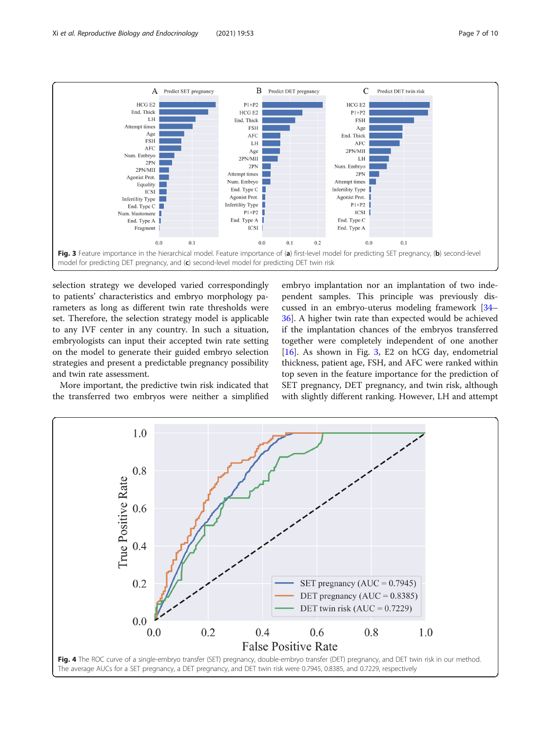<span id="page-6-0"></span>

selection strategy we developed varied correspondingly to patients' characteristics and embryo morphology parameters as long as different twin rate thresholds were set. Therefore, the selection strategy model is applicable to any IVF center in any country. In such a situation, embryologists can input their accepted twin rate setting on the model to generate their guided embryo selection strategies and present a predictable pregnancy possibility and twin rate assessment.

More important, the predictive twin risk indicated that the transferred two embryos were neither a simplified

embryo implantation nor an implantation of two independent samples. This principle was previously discussed in an embryo-uterus modeling framework [[34](#page-9-0)– [36\]](#page-9-0). A higher twin rate than expected would be achieved if the implantation chances of the embryos transferred together were completely independent of one another [[16\]](#page-9-0). As shown in Fig. 3, E2 on hCG day, endometrial thickness, patient age, FSH, and AFC were ranked within top seven in the feature importance for the prediction of SET pregnancy, DET pregnancy, and twin risk, although with slightly different ranking. However, LH and attempt

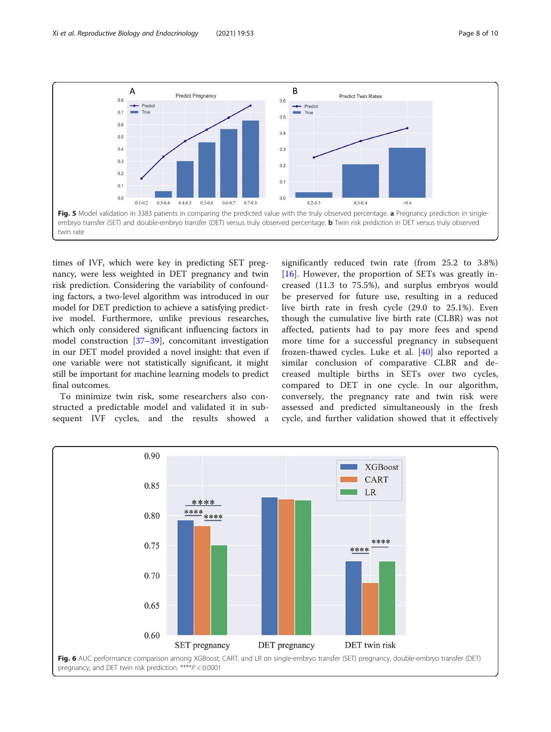<span id="page-7-0"></span>

times of IVF, which were key in predicting SET pregnancy, were less weighted in DET pregnancy and twin risk prediction. Considering the variability of confounding factors, a two-level algorithm was introduced in our model for DET prediction to achieve a satisfying predictive model. Furthermore, unlike previous researches, which only considered significant influencing factors in model construction [[37](#page-9-0)–[39](#page-9-0)], concomitant investigation in our DET model provided a novel insight: that even if one variable were not statistically significant, it might still be important for machine learning models to predict final outcomes.

To minimize twin risk, some researchers also constructed a predictable model and validated it in subsequent IVF cycles, and the results showed a

significantly reduced twin rate (from 25.2 to 3.8%) [[16\]](#page-9-0). However, the proportion of SETs was greatly increased (11.3 to 75.5%), and surplus embryos would be preserved for future use, resulting in a reduced live birth rate in fresh cycle (29.0 to 25.1%). Even though the cumulative live birth rate (CLBR) was not affected, patients had to pay more fees and spend more time for a successful pregnancy in subsequent frozen-thawed cycles. Luke et al. [\[40](#page-9-0)] also reported a similar conclusion of comparative CLBR and decreased multiple births in SETs over two cycles, compared to DET in one cycle. In our algorithm, conversely, the pregnancy rate and twin risk were assessed and predicted simultaneously in the fresh cycle, and further validation showed that it effectively

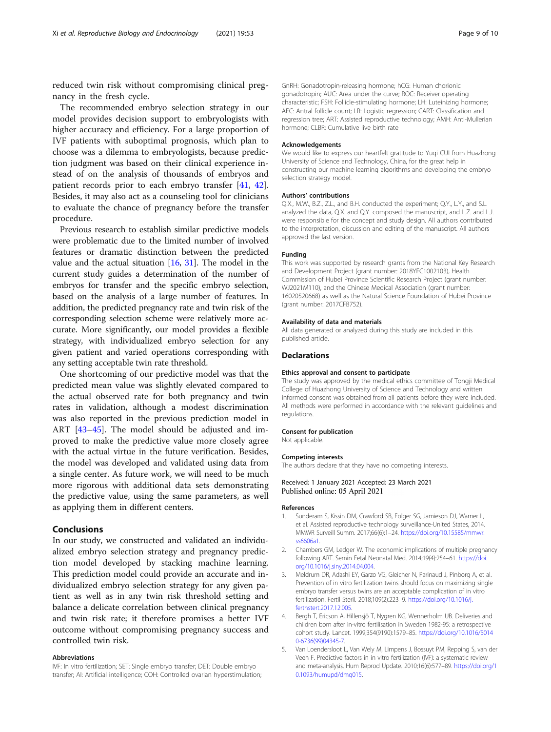<span id="page-8-0"></span>reduced twin risk without compromising clinical pregnancy in the fresh cycle.

The recommended embryo selection strategy in our model provides decision support to embryologists with higher accuracy and efficiency. For a large proportion of IVF patients with suboptimal prognosis, which plan to choose was a dilemma to embryologists, because prediction judgment was based on their clinical experience instead of on the analysis of thousands of embryos and patient records prior to each embryo transfer [[41,](#page-9-0) [42](#page-9-0)]. Besides, it may also act as a counseling tool for clinicians to evaluate the chance of pregnancy before the transfer procedure.

Previous research to establish similar predictive models were problematic due to the limited number of involved features or dramatic distinction between the predicted value and the actual situation [\[16](#page-9-0), [31](#page-9-0)]. The model in the current study guides a determination of the number of embryos for transfer and the specific embryo selection, based on the analysis of a large number of features. In addition, the predicted pregnancy rate and twin risk of the corresponding selection scheme were relatively more accurate. More significantly, our model provides a flexible strategy, with individualized embryo selection for any given patient and varied operations corresponding with any setting acceptable twin rate threshold.

One shortcoming of our predictive model was that the predicted mean value was slightly elevated compared to the actual observed rate for both pregnancy and twin rates in validation, although a modest discrimination was also reported in the previous prediction model in ART [\[43](#page-9-0)–[45\]](#page-9-0). The model should be adjusted and improved to make the predictive value more closely agree with the actual virtue in the future verification. Besides, the model was developed and validated using data from a single center. As future work, we will need to be much more rigorous with additional data sets demonstrating the predictive value, using the same parameters, as well as applying them in different centers.

# Conclusions

In our study, we constructed and validated an individualized embryo selection strategy and pregnancy prediction model developed by stacking machine learning. This prediction model could provide an accurate and individualized embryo selection strategy for any given patient as well as in any twin risk threshold setting and balance a delicate correlation between clinical pregnancy and twin risk rate; it therefore promises a better IVF outcome without compromising pregnancy success and controlled twin risk.

#### Abbreviations

IVF: In vitro fertilization; SET: Single embryo transfer; DET: Double embryo transfer; AI: Artificial intelligence; COH: Controlled ovarian hyperstimulation; GnRH: Gonadotropin-releasing hormone; hCG: Human chorionic gonadotropin; AUC: Area under the curve; ROC: Receiver operating characteristic; FSH: Follicle-stimulating hormone; LH: Luteinizing hormone; AFC: Antral follicle count; LR: Logistic regression; CART: Classification and regression tree; ART: Assisted reproductive technology; AMH: Anti-Mullerian hormone; CLBR: Cumulative live birth rate

#### Acknowledgements

We would like to express our heartfelt gratitude to Yuqi CUI from Huazhong University of Science and Technology, China, for the great help in constructing our machine learning algorithms and developing the embryo selection strategy model.

#### Authors' contributions

Q.X., M.W., B.Z., Z.L., and B.H. conducted the experiment; Q.Y., L.Y., and S.L. analyzed the data, Q.X. and Q.Y. composed the manuscript, and L.Z. and L.J. were responsible for the concept and study design. All authors contributed to the interpretation, discussion and editing of the manuscript. All authors approved the last version.

#### Funding

This work was supported by research grants from the National Key Research and Development Project (grant number: 2018YFC1002103), Health Commission of Hubei Province Scientific Research Project (grant number: WJ2021M110), and the Chinese Medical Association (grant number: 16020520668) as well as the Natural Science Foundation of Hubei Province (grant number: 2017CFB752).

# Availability of data and materials

All data generated or analyzed during this study are included in this published article.

#### **Declarations**

#### Ethics approval and consent to participate

The study was approved by the medical ethics committee of Tongji Medical College of Huazhong University of Science and Technology and written informed consent was obtained from all patients before they were included. All methods were performed in accordance with the relevant guidelines and regulations.

#### Consent for publication

Not applicable.

# Competing interests

The authors declare that they have no competing interests.

Received: 1 January 2021 Accepted: 23 March 2021 Published online: 05 April 2021

#### References

- 1. Sunderam S, Kissin DM, Crawford SB, Folger SG, Jamieson DJ, Warner L, et al. Assisted reproductive technology surveillance-United States, 2014. MMWR Surveill Summ. 2017;66(6):1–24. [https://doi.org/10.15585/mmwr.](https://doi.org/10.15585/mmwr.ss6606a1) [ss6606a1](https://doi.org/10.15585/mmwr.ss6606a1).
- 2. Chambers GM, Ledger W. The economic implications of multiple pregnancy following ART. Semin Fetal Neonatal Med. 2014;19(4):254–61. [https://doi.](https://doi.org/10.1016/j.siny.2014.04.004) [org/10.1016/j.siny.2014.04.004.](https://doi.org/10.1016/j.siny.2014.04.004)
- 3. Meldrum DR, Adashi EY, Garzo VG, Gleicher N, Parinaud J, Pinborg A, et al. Prevention of in vitro fertilization twins should focus on maximizing single embryo transfer versus twins are an acceptable complication of in vitro fertilization. Fertil Steril. 2018;109(2):223–9. [https://doi.org/10.1016/j.](https://doi.org/10.1016/j.fertnstert.2017.12.005) [fertnstert.2017.12.005.](https://doi.org/10.1016/j.fertnstert.2017.12.005)
- 4. Bergh T, Ericson A, Hillensjö T, Nygren KG, Wennerholm UB. Deliveries and children born after in-vitro fertilisation in Sweden 1982-95: a retrospective cohort study. Lancet. 1999;354(9190):1579–85. [https://doi.org/10.1016/S014](https://doi.org/10.1016/S0140-6736(99)04345-7) [0-6736\(99\)04345-7.](https://doi.org/10.1016/S0140-6736(99)04345-7)
- 5. Van Loendersloot L, Van Wely M, Limpens J, Bossuyt PM, Repping S, van der Veen F. Predictive factors in in vitro fertilization (IVF): a systematic review and meta-analysis. Hum Reprod Update. 2010;16(6):577–89. [https://doi.org/1](https://doi.org/10.1093/humupd/dmq015) [0.1093/humupd/dmq015](https://doi.org/10.1093/humupd/dmq015).